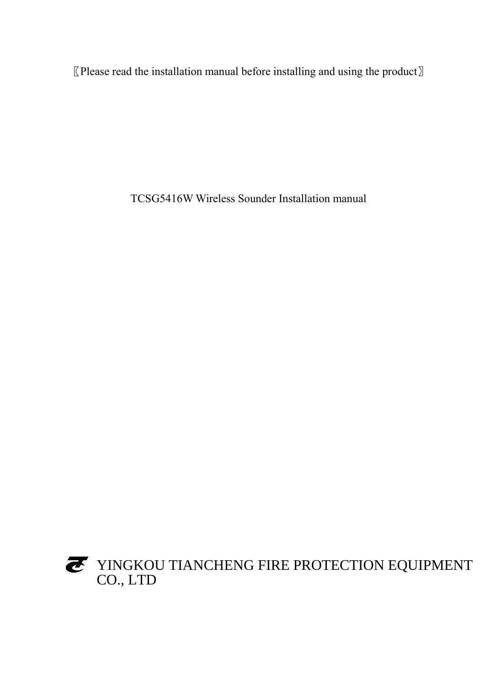〖Please read the installation manual before installing and using the product〗

TCSG5416W Wireless Sounder Installation manual

YINGKOU TIANCHENG FIRE PROTECTION EQUIPMENT CO., LTD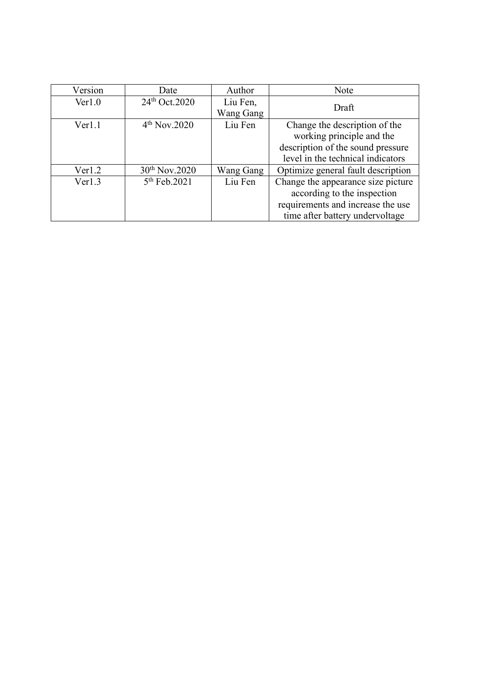| Version | Date                                | Author    | Note                               |  |
|---------|-------------------------------------|-----------|------------------------------------|--|
| Ver1.0  | $24th$ Oct. 2020                    | Liu Fen,  | Draft                              |  |
|         |                                     | Wang Gang |                                    |  |
| Ver1.1  | 4 <sup>th</sup> Nov.2020<br>Liu Fen |           | Change the description of the      |  |
|         |                                     |           | working principle and the          |  |
|         |                                     |           | description of the sound pressure  |  |
|         |                                     |           | level in the technical indicators  |  |
| Ver1.2  | $30^{th}$ Nov.2020                  | Wang Gang | Optimize general fault description |  |
| Ver1.3  | 5 <sup>th</sup> Feb.2021            | Liu Fen   | Change the appearance size picture |  |
|         |                                     |           | according to the inspection        |  |
|         |                                     |           | requirements and increase the use  |  |
|         |                                     |           | time after battery undervoltage    |  |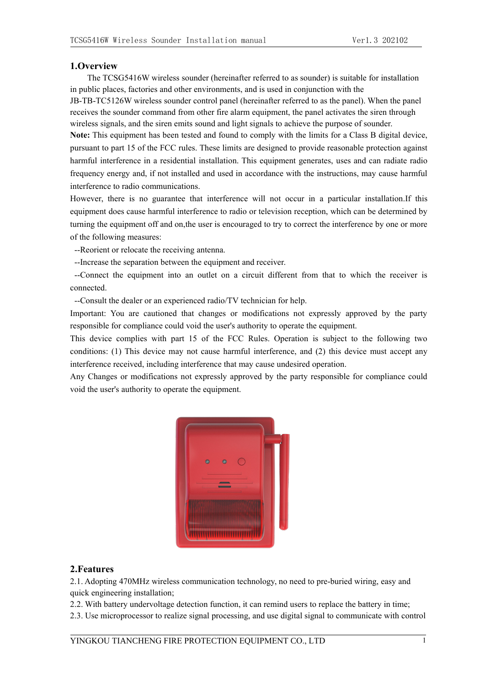## **1.Overview**

The TCSG5416W wireless sounder (hereinafter referred to assounder) is suitable for installation in public places, factories and other environments, and is used in conjunction with the

JB-TB-TC5126W wireless sounder control panel (hereinafter referred to asthe panel). When the panel receives the sounder command from other fire alarm equipment, the panel activates the siren through wireless signals, and the siren emits sound and light signals to achieve the purpose of sounder.

**Note:** This equipment has been tested and found to comply with the limits for a Class B digital device, pursuant to part 15 of the FCC rules. These limits are designed to provide reasonable protection against harmful interference in a residential installation. This equipment generates, uses and can radiate radio frequency energy and, if not installed and used in accordance with the instructions, may cause harmful interference to radio communications.

However, there is no guarantee that interference will not occur in a particular installation.If this equipment does cause harmful interference to radio or television reception, which can be determined by turning the equipment off and on,the user is encouraged to try to correct the interference by one or more of the following measures:--Reorient or relocate the receiving antenna.

--Increase the separation between the equipment and receiver.

--Connect the equipment into an outlet on a circuit different from that to which the receiver is connected.

--Consult the dealer or an experienced radio/TV technician for help.

Important: You are cautioned that changes or modifications not expressly approved by the party responsible for compliance could void the user's authority to operate the equipment.

This device complies with part 15 of the FCC Rules. Operation is subject to the following two conditions: (1) This device may not cause harmful interference, and (2) this device must accept any interference received, including interference that may cause undesired operation.

Any Changes or modifications not expressly approved by the party responsible for compliance could void the user's authority to operate the equipment.



# **2.Features**

2.1. Adopting 470MHz wireless communication technology, no need to pre-buried wiring, easy and quick engineering installation;

2.2. With battery undervoltage detection function, it can remind users to replace the battery in time;

2.3. Use microprocessor to realize signal processing, and use digital signal to communicate with control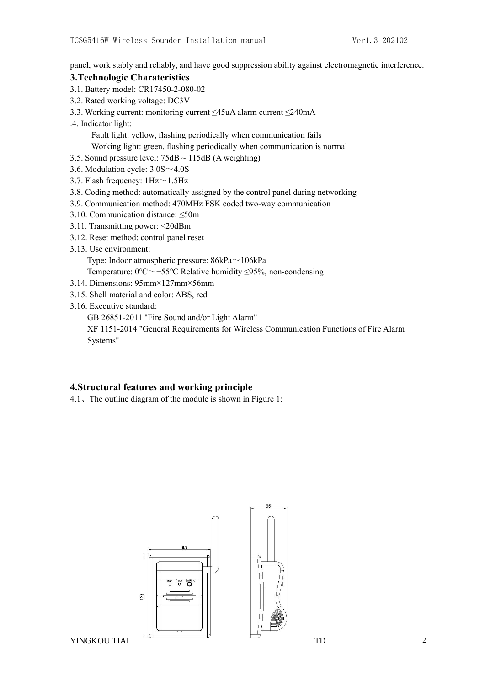panel, work stably and reliably, and have good suppression ability against electromagnetic interference.

## **3.Technologic Charateristics**

- 3.1. Battery model: CR17450-2-080-02
- 3.2. Rated working voltage: DC3V
- 3.3. Working current: monitoring current ≤45uA alarm current ≤240mA
- .4. Indicator light:

Fault light: yellow, flashing periodically when communication fails Working light: green, flashing periodically when communication is normal

- 3.5. Sound pressure level:  $75dB \sim 115dB$  (A weighting)
- 3.6. Modulation cycle: 3.0S~4.0S
- 3.7. Flash frequency:  $1\text{Hz} \sim 1.5\text{Hz}$
- 3.8. Coding method: automatically assigned by the control panel during networking
- 3.9. Communication method: 470MHz FSK coded two-way communication
- 3.10. Communication distance: ≤50m
- 3.11. Transmitting power: <20dBm
- 3.12. Reset method: control panel reset
- 3.13. Use environment:

Type: Indoor atmospheric pressure: 86kPa~106kPa

Temperature:  $0^{\circ}$ C $\sim$ +55°C Relative humidity  $\leq$ 95%, non-condensing

- 3.14. Dimensions: 95mm×127mm×56mm
- 3.15. Shell material and color: ABS, red
- 3.16. Executive standard:
	- GB 26851-2011 "Fire Sound and/or Light Alarm"

XF 1151-2014 "General Requirements for Wireless Communication Functions of Fire Alarm Systems"

# **4.Structural features and working principle**

4.1、The outline diagram of the module is shown in Figure 1:



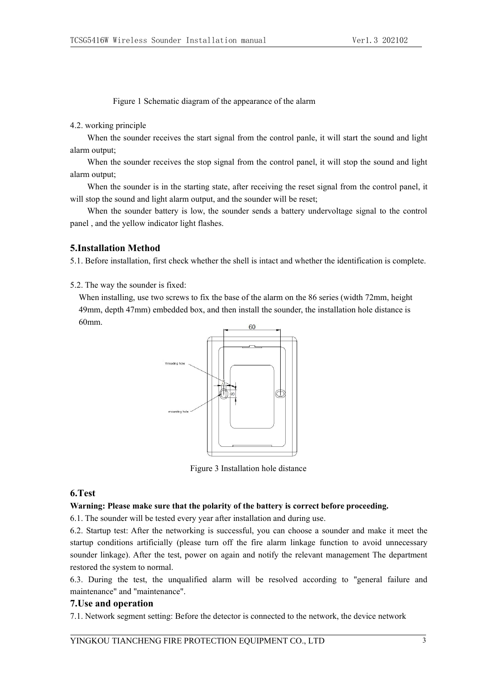Figure 1 Schematic diagram of the appearance of the alarm

4.2. working principle

When the sounder receives the start signal from the control panle, it will start the sound and light alarm output;

When the sounder receives the stop signal from the control panel, it will stop the sound and light alarm output;

When the sounder is in the starting state, after receiving the reset signal from the control panel, it will stop the sound and light alarm output, and the sounder will be reset;

When the sounder battery is low, the sounder sends a battery undervoltage signal to the control panel, and the yellow indicator light flashes.

# **5.Installation Method**

5.1. Before installation, first check whether the shell is intact and whether the identification is complete.

5.2. The way the sounder is fixed:

When installing, use two screws to fix the base of the alarm on the 86 series (width 72mm, height 49mm, depth 47mm) embedded box, and then install the sounder, the installation hole distance is 60mm.



Figure 3 Installation hole distance

#### **6.Test**

#### **Warning: Please make sure that the polarity of the battery is correct before proceeding.**

6.1. The sounder will be tested every year after installation and during use.6.2. Startup test: After the networking is successful, you can choose <sup>a</sup> sounder and make it meet the startup conditions artificially (please turn off the fire alarm linkage function to avoid unnecessary sounder linkage). After the test, power on again and notify the relevant management The department restored the system to normal.

6.3. During the test, the unqualified alarm will be resolved according to "general failure and maintenance" and "maintenance".

### **7.Use and operation**

7.1. Network segment setting: Before the detector is connected to the network, the device network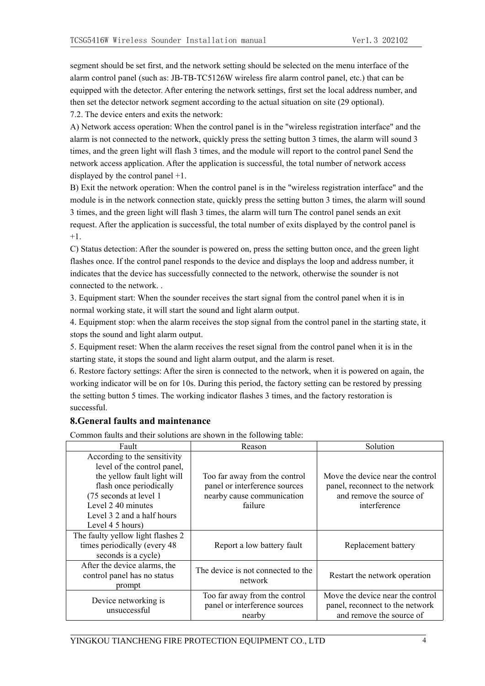segment should be set first, and the network setting should be selected on the menu interface of the alarm control panel (such as: JB-TB-TC5126W wireless fire alarm control panel, etc.) thatcan be equipped with the detector. After entering the network settings, first set the local address number, and then set the detector network segment according to the actual situation on site (29 optional). 7.2. The device enters and exits the network:

A) Network access operation: When the control panel is in the "wireless registration interface" and the alarm is not connected to the network, quickly press the setting button 3 times, the alarm will sound 3 times, and the green light will flash 3 times, and the module will report to the control panel Send the network access application. After the application is successful, the total number of network access displayed by the control panel +1.

B) Exit the network operation: When the control panel is in the "wireless registration interface" and the module is in the network connection state, quickly press the setting button 3 times, the alarm will sound 3 times, and the green light will flash 3 times, the alarm will turn The controlpanel sends an exit request. After the application is successful, the total number of exits displayed by the control panel is  $+1.$ 

C) Status detection: After the sounder is powered on, press the setting button once, and the green light flashes once. If the control panel responds to the device and displays the loop and address number, it indicates that the device has successfully connected to the network, otherwise the sounder is not connected to the network. .

3. Equipment start: When the sounder receives the start signal from the control panel when it is in normal working state, it will start the sound and light alarm output.

4. Equipment stop: when the alarm receives the stop signal from the control panel in the starting state, it stops the sound and light alarm output.

5. Equipment reset: When the alarm receives the reset signal from the control panel when it is in the starting state, it stops the sound and light alarm output, and the alarm is reset.

6. Restore factory settings: After the siren is connected to the network, when it is powered on again, the working indicator will be on for 10s. During this period, the factory setting can be restored by pressing the setting button 5 times. The working indicator flashes 3 times, and the factory restoration is successful.

# **8.General faults and maintenance**

Common faults and their solutions are shown in the following table:

| Fault                                                                                                                                                                                                                   | Reason                                                                                                  | Solution                                                                                                        |  |
|-------------------------------------------------------------------------------------------------------------------------------------------------------------------------------------------------------------------------|---------------------------------------------------------------------------------------------------------|-----------------------------------------------------------------------------------------------------------------|--|
| According to the sensitivity<br>level of the control panel,<br>the yellow fault light will<br>flash once periodically<br>(75 seconds at level 1<br>Level 2 40 minutes<br>Level 3 2 and a half hours<br>Level 4 5 hours) | Too far away from the control<br>panel or interference sources<br>nearby cause communication<br>failure | Move the device near the control<br>panel, reconnect to the network<br>and remove the source of<br>interference |  |
| The faulty yellow light flashes 2<br>times periodically (every 48<br>seconds is a cycle)                                                                                                                                | Report a low battery fault                                                                              | Replacement battery                                                                                             |  |
| After the device alarms, the<br>control panel has no status<br>prompt                                                                                                                                                   | The device is not connected to the<br>network                                                           | Restart the network operation                                                                                   |  |
| Device networking is<br>unsuccessful                                                                                                                                                                                    | Too far away from the control<br>panel or interference sources<br>nearby                                | Move the device near the control<br>panel, reconnect to the network<br>and remove the source of                 |  |